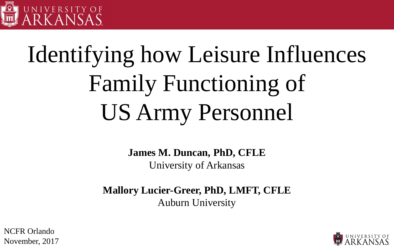

### Identifying how Leisure Influences Family Functioning of US Army Personnel

**James M. Duncan, PhD, CFLE**

University of Arkansas

**Mallory Lucier-Greer, PhD, LMFT, CFLE** Auburn University



NCFR Orlando November, 2017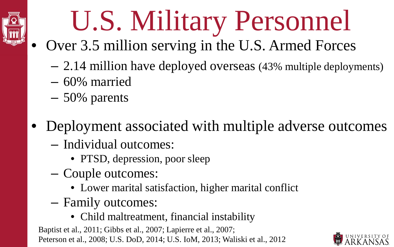

# U.S. Military Personnel

- Over 3.5 million serving in the U.S. Armed Forces
	- 2.14 million have deployed overseas (43% multiple deployments)
	- 60% married
	- 50% parents
- Deployment associated with multiple adverse outcomes
	- Individual outcomes:
		- PTSD, depression, poor sleep
	- Couple outcomes:
		- Lower marital satisfaction, higher marital conflict
	- Family outcomes:
		- Child maltreatment, financial instability

Baptist et al., 2011; Gibbs et al., 2007; Lapierre et al., 2007; Peterson et al., 2008; U.S. DoD, 2014; U.S. IoM, 2013; Waliski et al., 2012

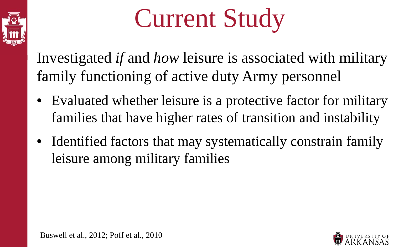

# Current Study

Investigated *if* and *how* leisure is associated with military family functioning of active duty Army personnel

- Evaluated whether leisure is a protective factor for military families that have higher rates of transition and instability
- Identified factors that may systematically constrain family leisure among military families

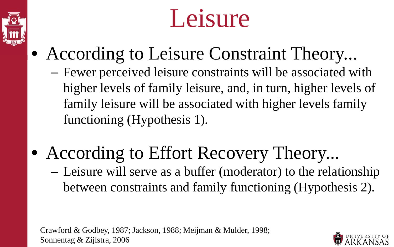



- According to Leisure Constraint Theory...
	- Fewer perceived leisure constraints will be associated with higher levels of family leisure, and, in turn, higher levels of family leisure will be associated with higher levels family functioning (Hypothesis 1).
- According to Effort Recovery Theory... – Leisure will serve as a buffer (moderator) to the relationship between constraints and family functioning (Hypothesis 2).

Crawford & Godbey, 1987; Jackson, 1988; Meijman & Mulder, 1998; Sonnentag & Zijlstra, 2006

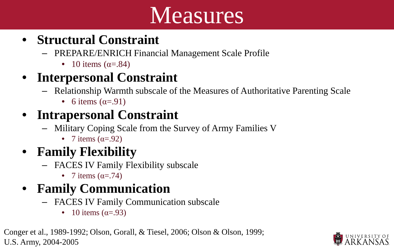### Measures

#### • **Structural Constraint**

- PREPARE/ENRICH Financial Management Scale Profile
	- 10 items  $(\alpha = .84)$

#### • **Interpersonal Constraint**

- Relationship Warmth subscale of the Measures of Authoritative Parenting Scale
	- 6 items  $(\alpha = .91)$

#### • **Intrapersonal Constraint**

- Military Coping Scale from the Survey of Army Families V
	- 7 items  $(\alpha = .92)$

#### • **Family Flexibility**

- FACES IV Family Flexibility subscale
	- 7 items  $(\alpha = .74)$

#### • **Family Communication**

- FACES IV Family Communication subscale
	- 10 items  $(\alpha = .93)$

Conger et al., 1989-1992; Olson, Gorall, & Tiesel, 2006; Olson & Olson, 1999; U.S. Army, 2004-2005

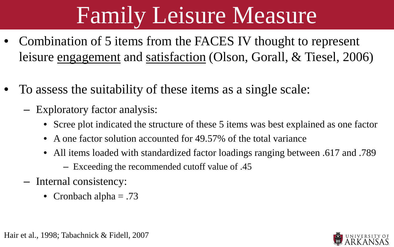### Family Leisure Measure

- Combination of 5 items from the FACES IV thought to represent leisure engagement and satisfaction (Olson, Gorall, & Tiesel, 2006)
- To assess the suitability of these items as a single scale:
	- Exploratory factor analysis:
		- Scree plot indicated the structure of these 5 items was best explained as one factor
		- A one factor solution accounted for 49.57% of the total variance
		- All items loaded with standardized factor loadings ranging between .617 and .789
			- Exceeding the recommended cutoff value of .45
	- Internal consistency:
		- Cronbach alpha  $= .73$

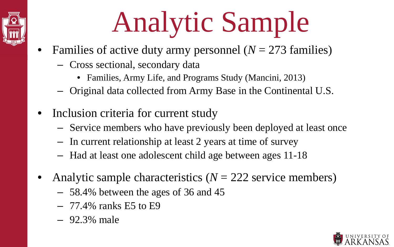# Analytic Sample

- Families of active duty army personnel  $(N = 273$  families)
	- Cross sectional, secondary data
		- Families, Army Life, and Programs Study (Mancini, 2013)
	- Original data collected from Army Base in the Continental U.S.
- Inclusion criteria for current study
	- Service members who have previously been deployed at least once
	- In current relationship at least 2 years at time of survey
	- Had at least one adolescent child age between ages 11-18
- Analytic sample characteristics ( $N = 222$  service members)
	- 58.4% between the ages of 36 and 45
	- $-77.4\%$  ranks E5 to E9
	- 92.3% male

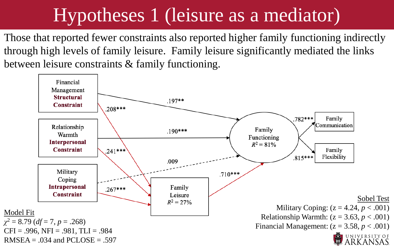#### Hypotheses 1 (leisure as a mediator)

Those that reported fewer constraints also reported higher family functioning indirectly through high levels of family leisure. Family leisure significantly mediated the links between leisure constraints & family functioning.

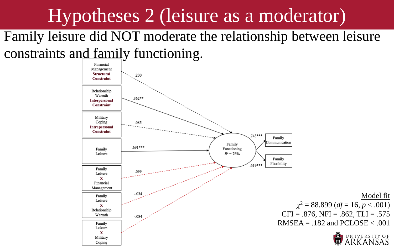#### Hypotheses 2 (leisure as a moderator)

Family leisure did NOT moderate the relationship between leisure constraints and family functioning.

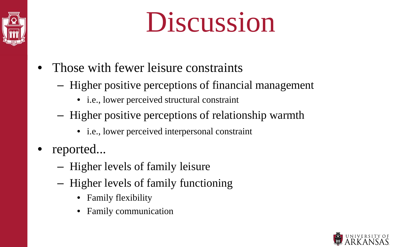

# Discussion

- Those with fewer leisure constraints
	- Higher positive perceptions of financial management
		- i.e., lower perceived structural constraint
	- Higher positive perceptions of relationship warmth
		- i.e., lower perceived interpersonal constraint
- reported...
	- Higher levels of family leisure
	- Higher levels of family functioning
		- Family flexibility
		- Family communication

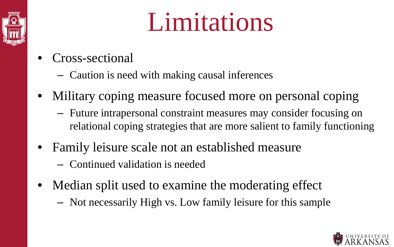

### Limitations

- Cross-sectional
	- Caution is need with making causal inferences
- Military coping measure focused more on personal coping
	- Future intrapersonal constraint measures may consider focusing on relational coping strategies that are more salient to family functioning
- Family leisure scale not an established measure
	- Continued validation is needed
- Median split used to examine the moderating effect
	- Not necessarily High vs. Low family leisure for this sample

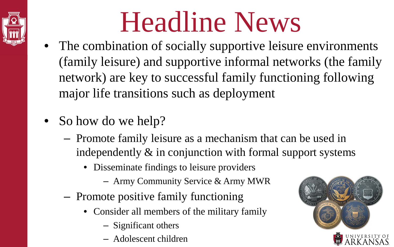

# Headline News

- The combination of socially supportive leisure environments (family leisure) and supportive informal networks (the family network) are key to successful family functioning following major life transitions such as deployment
- So how do we help?
	- Promote family leisure as a mechanism that can be used in independently & in conjunction with formal support systems
		- Disseminate findings to leisure providers
			- Army Community Service & Army MWR
	- Promote positive family functioning
		- Consider all members of the military family
			- Significant others
			- Adolescent children

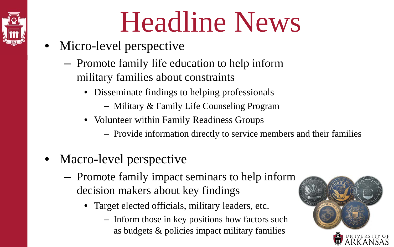# Headline News

- Micro-level perspective
	- Promote family life education to help inform military families about constraints
		- Disseminate findings to helping professionals
			- Military & Family Life Counseling Program
		- Volunteer within Family Readiness Groups
			- Provide information directly to service members and their families
- Macro-level perspective
	- Promote family impact seminars to help inform decision makers about key findings
		- Target elected officials, military leaders, etc.
			- Inform those in key positions how factors such as budgets & policies impact military families



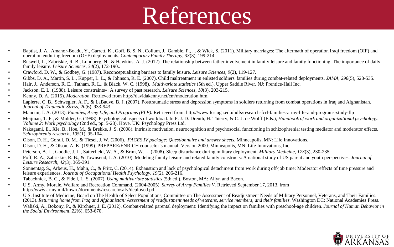### References

- Baptist, J. A., Amanor-Boadu, Y., Garrett, K., Goff, B. S. N., Collum, J., Gamble, P., ... & Wick, S. (2011). Military marriages: The aftermath of operation Iraqi freedom (OIF) and operation enduring freedom (OEF) deployments. *Contemporary Family Therapy*, *33*(3), 199-214.
- Buswell, L., Zabriskie, R. B., Lundberg, N., & Hawkins, A. J. (2012). The relationship between father involvement in family leisure and family functioning: The importance of daily family leisure. *Leisure Sciences*, *34*(2), 172-190..
- Crawford, D. W., & Godbey, G. (1987). Reconceptualizing barriers to family leisure. *Leisure Sciences*, *9*(2), 119-127.
- Gibbs, D. A., Martin, S. L., Kupper, L. L., & Johnson, R. E. (2007). Child maltreatment in enlisted soldiers' families during combat-related deployments. *JAMA*, *298*(5), 528-535.
- Hair, J., Anderson, R. E., Tatham, R. L., & Black, W. C. (1998). *Multivariate statistics* (5th ed.). Upper Saddle River, NJ: Prentice-Hall Inc.
- Jackson, E. L. (1988). Leisure constraints∗: A survey of past research. *Leisure Sciences*, *10*(3), 203-215.
- Kenny, D. A. (2015). *Moderation*. Retrieved from http://davidakenny.net/cm/moderation.htm.
- Lapierre, C. B., Schwegler, A. F., & LaBauve, B. J. (2007). Posttraumatic stress and depression symptoms in soldiers returning from combat operations in Iraq and Afghanistan.<br>Journal of Traumatic Stress, 20(6), 933-943.
- Mancini, J. A. (2013). *Families, Army Life, and Programs (FLP).* Retrieved from: http://www.fcs.uga.edu/hdfs/research-fcrl-families-army-life-and-programs-study-flp
- Meijman, T. F., & Mulder, G. (1998). Psychological aspects of workload. In P. J. D. Drenth, H. Thierry, & C. J. de Wolff (Eds.), *Handbook of work and organizational psychology*: Volume 2: Work psychology (2nd ed., pp. 5
- Nakagami, E., Xie, B., Hoe, M., & Brekke, J. S. (2008). Intrinsic motivation, neurocognition and psychosocial functioning in schizophrenia: testing mediator and moderator effects. *Schizophrenia research*, *105*(1), 95-104.
- Olson, D. H., Gorall, D. M., & Tiesel, J. W. (2006). *FACES IV package: Questionnaire and answer sheets*. Minneapolis, MN: Life Innovations.
- Olson, D. H., & Olson, A. K. (1999). PREPARE/ENRICH counselor's manual: Version 2000. Minneapolis, MN: Life Innovations, Inc.
- Peterson, A. L., Goodie, J. L., Satterfield, W. A., & Brim, W. L. (2008). Sleep disturbance during military deployment. *Military Medicine*, *173*(3), 230-235.
- Poff, R. A., Zabriskie, R. B., & Townsend, J. A. (2010). Modeling family leisure and related family constructs: A national study of US parent and youth perspectives. *Journal of Leisure Research*, *42*(3), 365-391.
- Sonnentag, S., Arbeus, H., Mahn, C., & Fritz, C. (2014). Exhaustion and lack of psychological detachment from work during off-job time: Moderator effects of time pressure and leisure experiences. *Journal of Occupational Health Psychology*, *19*(2), 206-216.
- Tabachnick, B. G., & Fidell, L. S. (2007). *Using multivariate statistics* (5th ed.). Boston, MA: Allyn and Bacon.
- U.S. Army, Morale, Welfare and Recreation Command. (2004-2005). *Survey of Army Families V.* Retrieved September 17, 2013, from http://www.army.mil/fmwrc/documents/research/safv/deployed.pdf
- U.S. Institute of Medicine, Board on The Health of Select Populations, Committee on The Assessment of Readjustment Needs of Military Personnel, Veterans, and Their Families. (2013). *Returning home from Iraq and Afghanistan: Assessment of readjustment needs of veterans, service members, and their families.* Washington DC: National Academies Press.
- Waliski, A., Bokony, P., & Kirchner, J. E. (2012). Combat-related parental deployment: Identifying the impact on families with preschool-age children. *Journal of Human Behavior in the Social Environment*, *22*(6), 653-670.

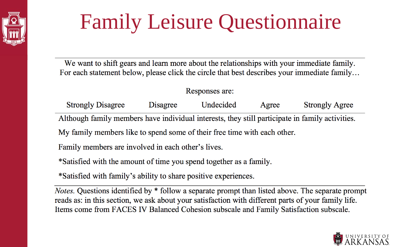

### Family Leisure Questionnaire

We want to shift gears and learn more about the relationships with your immediate family. For each statement below, please click the circle that best describes your immediate family...

#### Responses are:

| <b>Strongly Disagree</b>                                                                        | Disagree | Undecided | Agree | <b>Strongly Agree</b> |  |  |  |  |  |  |  |
|-------------------------------------------------------------------------------------------------|----------|-----------|-------|-----------------------|--|--|--|--|--|--|--|
| Although family members have individual interests, they still participate in family activities. |          |           |       |                       |  |  |  |  |  |  |  |
| My family members like to spend some of their free time with each other.                        |          |           |       |                       |  |  |  |  |  |  |  |
| $\mathbf{r}$ $\mathbf{r}$                                                                       |          |           |       |                       |  |  |  |  |  |  |  |

Family members are involved in each other's lives.

\*Satisfied with the amount of time you spend together as a family.

\*Satisfied with family's ability to share positive experiences.

*Notes.* Questions identified by \* follow a separate prompt than listed above. The separate prompt reads as: in this section, we ask about your satisfaction with different parts of your family life. Items come from FACES IV Balanced Cohesion subscale and Family Satisfaction subscale.

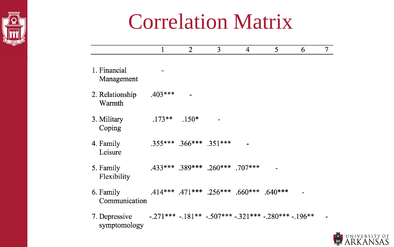

### Correlation Matrix

|                            |           | $\overline{2}$                | 3                                       | 4                                       | 5         | 6 | 7 |
|----------------------------|-----------|-------------------------------|-----------------------------------------|-----------------------------------------|-----------|---|---|
| 1. Financial<br>Management |           |                               |                                         |                                         |           |   |   |
| 2. Relationship<br>Warmth  | $.403***$ |                               |                                         |                                         |           |   |   |
| 3. Military<br>Coping      | $.173**$  | $.150*$                       |                                         |                                         |           |   |   |
| 4. Family<br>Leisure       |           | $.355***$ $.366***$ $.351***$ |                                         |                                         |           |   |   |
| 5. Family<br>Flexibility   |           |                               | $.433***$ $.389***$ $.260***$ $.707***$ |                                         |           |   |   |
| 6. Family<br>Communication |           |                               |                                         | $.414***$ $.471***$ $.256***$ $.660***$ | $.640***$ |   |   |

 $-.271***$   $-.181**$   $-.507***$   $-.321***$   $-.280***$   $-.196**$  -7. Depressive symptomology